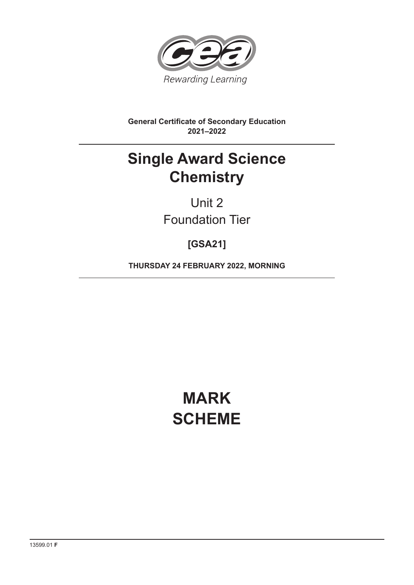

**General Certificate of Secondary Education 2021–2022**

## **Single Award Science Chemistry**

Unit 2 Foundation Tier

**[GSA21]**

**THURSDAY 24 FEBRUARY 2022, MORNING**

# **MARK SCHEME**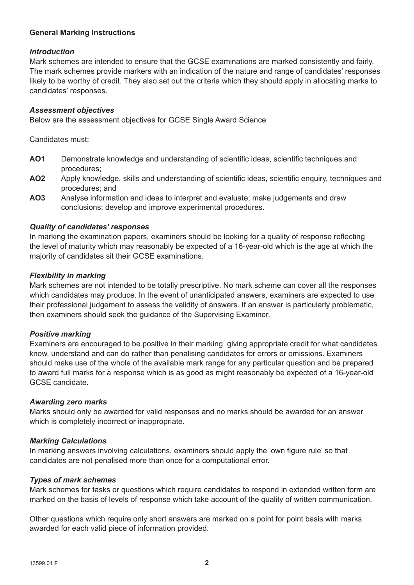## **General Marking Instructions**

## *Introduction*

Mark schemes are intended to ensure that the GCSE examinations are marked consistently and fairly. The mark schemes provide markers with an indication of the nature and range of candidates' responses likely to be worthy of credit. They also set out the criteria which they should apply in allocating marks to candidates' responses.

#### *Assessment objectives*

Below are the assessment objectives for GCSE Single Award Science

Candidates must:

- AO1 Demonstrate knowledge and understanding of scientific ideas, scientific techniques and procedures;
- AO2 Apply knowledge, skills and understanding of scientific ideas, scientific enquiry, techniques and procedures; and
- **AO3** Analyse information and ideas to interpret and evaluate; make judgements and draw conclusions; develop and improve experimental procedures.

## *Quality of candidates' responses*

In marking the examination papers, examiners should be looking for a quality of response reflecting the level of maturity which may reasonably be expected of a 16-year-old which is the age at which the majority of candidates sit their GCSE examinations.

#### *Flexibility in marking*

Mark schemes are not intended to be totally prescriptive. No mark scheme can cover all the responses which candidates may produce. In the event of unanticipated answers, examiners are expected to use their professional judgement to assess the validity of answers. If an answer is particularly problematic, then examiners should seek the guidance of the Supervising Examiner.

## *Positive marking*

Examiners are encouraged to be positive in their marking, giving appropriate credit for what candidates know, understand and can do rather than penalising candidates for errors or omissions. Examiners should make use of the whole of the available mark range for any particular question and be prepared to award full marks for a response which is as good as might reasonably be expected of a 16-year-old GCSE candidate.

#### *Awarding zero marks*

Marks should only be awarded for valid responses and no marks should be awarded for an answer which is completely incorrect or inappropriate.

## *Marking Calculations*

In marking answers involving calculations, examiners should apply the 'own figure rule' so that candidates are not penalised more than once for a computational error.

#### *Types of mark schemes*

Mark schemes for tasks or questions which require candidates to respond in extended written form are marked on the basis of levels of response which take account of the quality of written communication.

Other questions which require only short answers are marked on a point for point basis with marks awarded for each valid piece of information provided.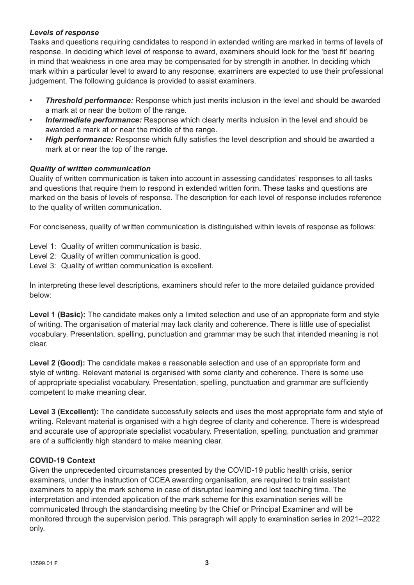## *Levels of response*

Tasks and questions requiring candidates to respond in extended writing are marked in terms of levels of response. In deciding which level of response to award, examiners should look for the 'best fit' bearing in mind that weakness in one area may be compensated for by strength in another. In deciding which mark within a particular level to award to any response, examiners are expected to use their professional judgement. The following guidance is provided to assist examiners.

- *Threshold performance:* Response which just merits inclusion in the level and should be awarded a mark at or near the bottom of the range.
- **Intermediate performance:** Response which clearly merits inclusion in the level and should be awarded a mark at or near the middle of the range.
- **High performance:** Response which fully satisfies the level description and should be awarded a mark at or near the top of the range.

## *Quality of written communication*

Quality of written communication is taken into account in assessing candidates' responses to all tasks and questions that require them to respond in extended written form. These tasks and questions are marked on the basis of levels of response. The description for each level of response includes reference to the quality of written communication.

For conciseness, quality of written communication is distinguished within levels of response as follows:

- Level 1: Quality of written communication is basic.
- Level 2: Quality of written communication is good.
- Level 3: Quality of written communication is excellent.

In interpreting these level descriptions, examiners should refer to the more detailed guidance provided below:

Level 1 (Basic): The candidate makes only a limited selection and use of an appropriate form and style of writing. The organisation of material may lack clarity and coherence. There is little use of specialist vocabulary. Presentation, spelling, punctuation and grammar may be such that intended meaning is not clear.

**Level 2 (Good):** The candidate makes a reasonable selection and use of an appropriate form and style of writing. Relevant material is organised with some clarity and coherence. There is some use of appropriate specialist vocabulary. Presentation, spelling, punctuation and grammar are sufficiently competent to make meaning clear.

Level 3 (Excellent): The candidate successfully selects and uses the most appropriate form and style of writing. Relevant material is organised with a high degree of clarity and coherence. There is widespread and accurate use of appropriate specialist vocabulary. Presentation, spelling, punctuation and grammar are of a sufficiently high standard to make meaning clear.

## **COVID-19 Context**

Given the unprecedented circumstances presented by the COVID-19 public health crisis, senior examiners, under the instruction of CCEA awarding organisation, are required to train assistant examiners to apply the mark scheme in case of disrupted learning and lost teaching time. The interpretation and intended application of the mark scheme for this examination series will be communicated through the standardising meeting by the Chief or Principal Examiner and will be monitored through the supervision period. This paragraph will apply to examination series in 2021–2022 only.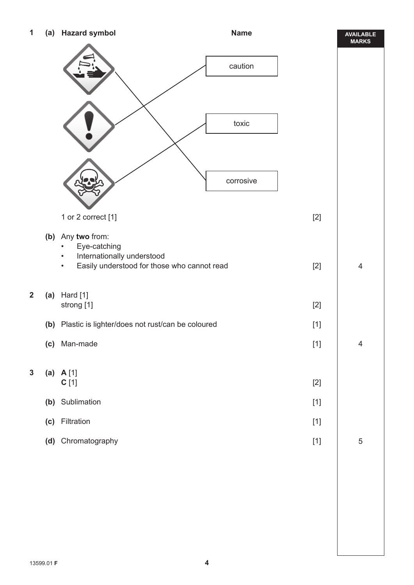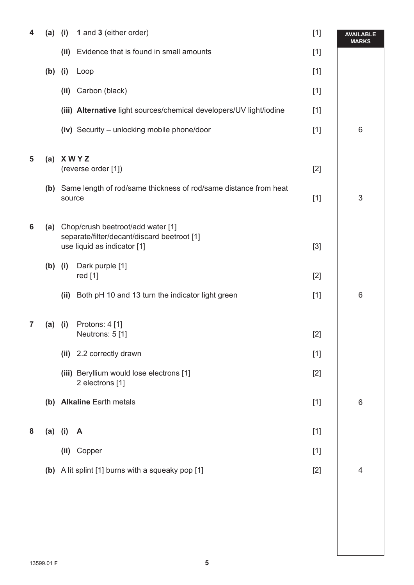| 4 | (a)       | (i)                                                                                                                 | 1 and 3 (either order)                                               | $[1]$ | <b>AVAILABLE</b><br><b>MARKS</b> |
|---|-----------|---------------------------------------------------------------------------------------------------------------------|----------------------------------------------------------------------|-------|----------------------------------|
|   |           | (ii)                                                                                                                | Evidence that is found in small amounts                              | $[1]$ |                                  |
|   | (b)       | (i)                                                                                                                 | Loop                                                                 | $[1]$ |                                  |
|   |           | (ii)                                                                                                                | Carbon (black)                                                       | $[1]$ |                                  |
|   |           |                                                                                                                     | (iii) Alternative light sources/chemical developers/UV light/iodine  | $[1]$ |                                  |
|   |           |                                                                                                                     | (iv) Security - unlocking mobile phone/door                          | $[1]$ | 6                                |
| 5 | (a)       | <b>XWYZ</b><br>(reverse order [1])                                                                                  |                                                                      | $[2]$ |                                  |
|   |           | source                                                                                                              | (b) Same length of rod/same thickness of rod/same distance from heat | $[1]$ | $\ensuremath{\mathsf{3}}$        |
| 6 |           | (a) Chop/crush beetroot/add water [1]<br>separate/filter/decant/discard beetroot [1]<br>use liquid as indicator [1] |                                                                      | $[3]$ |                                  |
|   | $(b)$ (i) |                                                                                                                     | Dark purple [1]<br>red [1]                                           | $[2]$ |                                  |
|   |           | (ii)                                                                                                                | Both pH 10 and 13 turn the indicator light green                     | $[1]$ | 6                                |
| 7 | (a)       | (i)                                                                                                                 | Protons: 4 [1]                                                       |       |                                  |
|   |           |                                                                                                                     | Neutrons: 5 [1]                                                      | $[2]$ |                                  |
|   |           |                                                                                                                     | (ii) 2.2 correctly drawn                                             | $[1]$ |                                  |
|   |           |                                                                                                                     | (iii) Beryllium would lose electrons [1]<br>2 electrons [1]          | $[2]$ |                                  |
|   |           |                                                                                                                     | (b) Alkaline Earth metals                                            | $[1]$ | 6                                |
| 8 |           | $(a)$ (i)                                                                                                           | A                                                                    | $[1]$ |                                  |
|   |           |                                                                                                                     | (ii) Copper                                                          | $[1]$ |                                  |
|   |           |                                                                                                                     | (b) A lit splint [1] burns with a squeaky pop [1]                    | $[2]$ | 4                                |
|   |           |                                                                                                                     |                                                                      |       |                                  |
|   |           |                                                                                                                     |                                                                      |       |                                  |
|   |           |                                                                                                                     |                                                                      |       |                                  |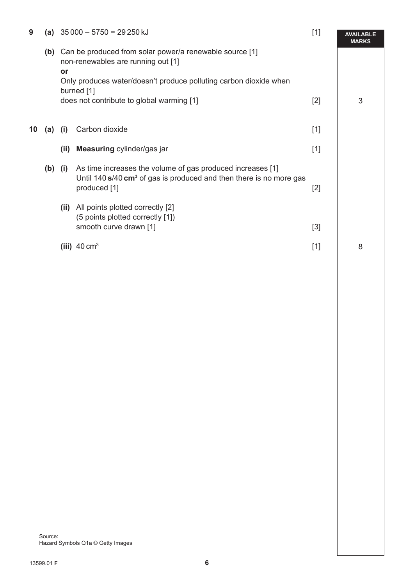| 9  | (a)       | $35000 - 5750 = 29250$ kJ<br>Can be produced from solar power/a renewable source [1]<br>non-renewables are running out [1]<br>or<br>Only produces water/doesn't produce polluting carbon dioxide when<br>burned [1]<br>does not contribute to global warming [1] |                                                                                                                                                                 | $[1]$ | <b>AVAILABLE</b><br><b>MARKS</b> |
|----|-----------|------------------------------------------------------------------------------------------------------------------------------------------------------------------------------------------------------------------------------------------------------------------|-----------------------------------------------------------------------------------------------------------------------------------------------------------------|-------|----------------------------------|
|    | (b)       |                                                                                                                                                                                                                                                                  |                                                                                                                                                                 |       |                                  |
|    |           |                                                                                                                                                                                                                                                                  |                                                                                                                                                                 | $[2]$ | 3                                |
| 10 | (a)       | (i)                                                                                                                                                                                                                                                              | Carbon dioxide                                                                                                                                                  | $[1]$ |                                  |
|    |           | (ii)                                                                                                                                                                                                                                                             | Measuring cylinder/gas jar                                                                                                                                      | $[1]$ |                                  |
|    | $(b)$ (i) |                                                                                                                                                                                                                                                                  | As time increases the volume of gas produced increases [1]<br>Until 140 $s/40$ cm <sup>3</sup> of gas is produced and then there is no more gas<br>produced [1] | $[2]$ |                                  |
|    |           | (ii)                                                                                                                                                                                                                                                             | All points plotted correctly [2]<br>(5 points plotted correctly [1])<br>smooth curve drawn [1]                                                                  | $[3]$ |                                  |
|    |           |                                                                                                                                                                                                                                                                  | (iii) $40 \text{ cm}^3$                                                                                                                                         | $[1]$ | 8                                |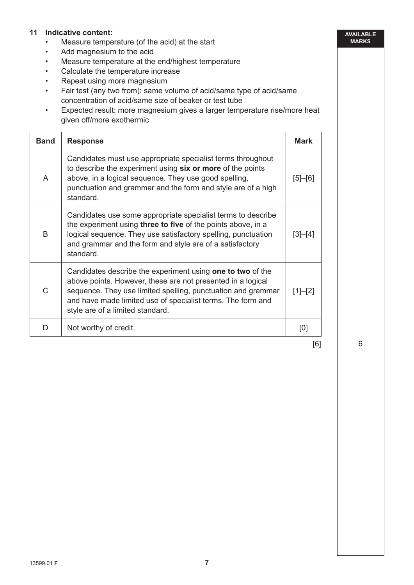## **11 Indicative content:**

- Measure temperature (of the acid) at the start
- Add magnesium to the acid
- Measure temperature at the end/highest temperature
- Calculate the temperature increase
- Repeat using more magnesium
- Fair test (any two from): same volume of acid/same type of acid/same concentration of acid/same size of beaker or test tube
- Expected result: more magnesium gives a larger temperature rise/more heat given off/more exothermic

| <b>Band</b> | <b>Response</b>                                                                                                                                                                                                                                                                              | <b>Mark</b> |
|-------------|----------------------------------------------------------------------------------------------------------------------------------------------------------------------------------------------------------------------------------------------------------------------------------------------|-------------|
| A           | Candidates must use appropriate specialist terms throughout<br>to describe the experiment using six or more of the points<br>above, in a logical sequence. They use good spelling,<br>punctuation and grammar and the form and style are of a high<br>standard.                              |             |
| B           | Candidates use some appropriate specialist terms to describe<br>the experiment using <b>three to five</b> of the points above, in a<br>logical sequence. They use satisfactory spelling, punctuation<br>and grammar and the form and style are of a satisfactory<br>standard.                | $[3]-[4]$   |
| C           | Candidates describe the experiment using one to two of the<br>above points. However, these are not presented in a logical<br>sequence. They use limited spelling, punctuation and grammar<br>and have made limited use of specialist terms. The form and<br>style are of a limited standard. | $[1]-[2]$   |
| D           | Not worthy of credit.                                                                                                                                                                                                                                                                        | [0]         |

[6]

6

**AVAILABLE MARKS**